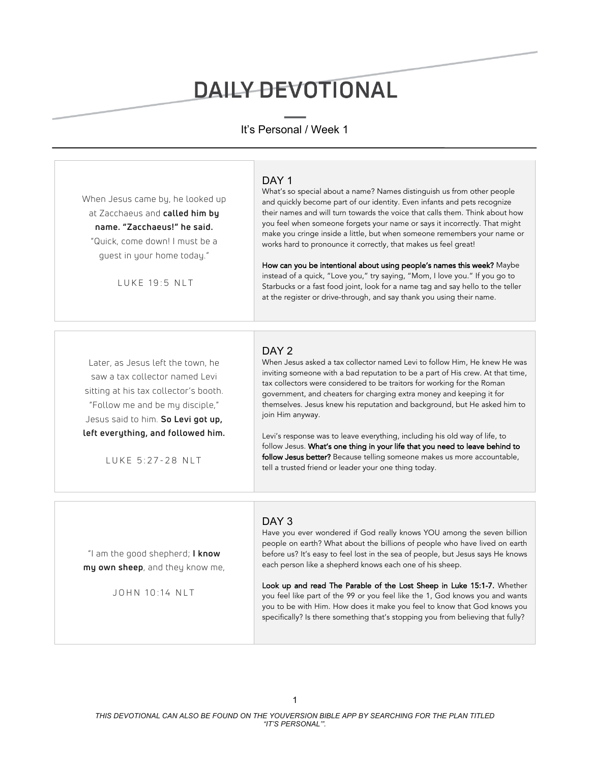# **DAILY DEVOTIONAL**

# It's Personal / Week 1

When Jesus came by, he looked up at Zacchaeus and **called him by name. "Zacchaeus!" he said.** "Quick, come down! I must be a guest in your home today."

LUKE 19:5 NLT

#### DAY<sub>1</sub>

What's so special about a name? Names distinguish us from other people and quickly become part of our identity. Even infants and pets recognize their names and will turn towards the voice that calls them. Think about how you feel when someone forgets your name or says it incorrectly. That might make you cringe inside a little, but when someone remembers your name or works hard to pronounce it correctly, that makes us feel great!

How can you be intentional about using people's names this week? Maybe instead of a quick, "Love you," try saying, "Mom, I love you." If you go to Starbucks or a fast food joint, look for a name tag and say hello to the teller at the register or drive-through, and say thank you using their name.

Later, as Jesus left the town, he saw a tax collector named Levi sitting at his tax collector's booth. "Follow me and be my disciple," Jesus said to him. **So Levi got up, left everything, and followed him.**

LUKE 5:27-28 NLT

## DAY<sub>2</sub>

When Jesus asked a tax collector named Levi to follow Him, He knew He was inviting someone with a bad reputation to be a part of His crew. At that time, tax collectors were considered to be traitors for working for the Roman government, and cheaters for charging extra money and keeping it for themselves. Jesus knew his reputation and background, but He asked him to join Him anyway.

Levi's response was to leave everything, including his old way of life, to follow Jesus. What's one thing in your life that you need to leave behind to follow Jesus better? Because telling someone makes us more accountable, tell a trusted friend or leader your one thing today.

"I am the good shepherd; **I know my own sheep**, and they know me,

JOHN 10:14 NLT

## DAY<sub>3</sub>

Have you ever wondered if God really knows YOU among the seven billion people on earth? What about the billions of people who have lived on earth before us? It's easy to feel lost in the sea of people, but Jesus says He knows each person like a shepherd knows each one of his sheep.

Look up and read The Parable of the Lost Sheep in Luke 15:1-7. Whether you feel like part of the 99 or you feel like the 1, God knows you and wants you to be with Him. How does it make you feel to know that God knows you specifically? Is there something that's stopping you from believing that fully?